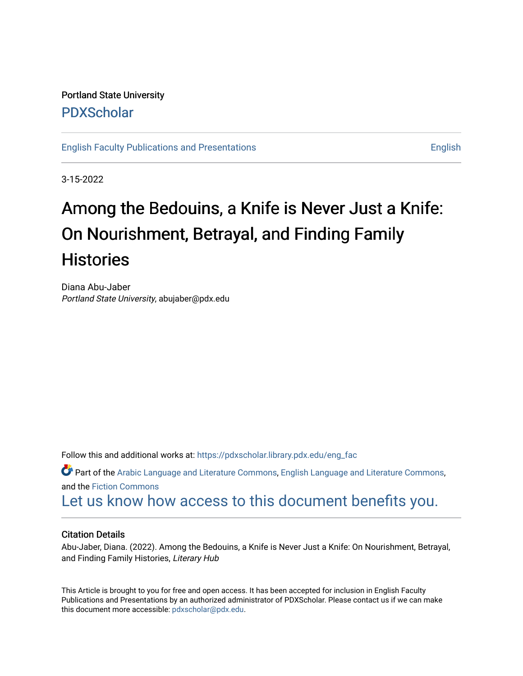Portland State University [PDXScholar](https://pdxscholar.library.pdx.edu/)

[English Faculty Publications and Presentations](https://pdxscholar.library.pdx.edu/eng_fac) [English](https://pdxscholar.library.pdx.edu/eng) English

3-15-2022

## Among the Bedouins, a Knife is Never Just a Knife: On Nourishment, Betrayal, and Finding Family **Histories**

Diana Abu-Jaber Portland State University, abujaber@pdx.edu

Follow this and additional works at: [https://pdxscholar.library.pdx.edu/eng\\_fac](https://pdxscholar.library.pdx.edu/eng_fac?utm_source=pdxscholar.library.pdx.edu%2Feng_fac%2F112&utm_medium=PDF&utm_campaign=PDFCoverPages)

Part of the [Arabic Language and Literature Commons](http://network.bepress.com/hgg/discipline/1423?utm_source=pdxscholar.library.pdx.edu%2Feng_fac%2F112&utm_medium=PDF&utm_campaign=PDFCoverPages), [English Language and Literature Commons](http://network.bepress.com/hgg/discipline/455?utm_source=pdxscholar.library.pdx.edu%2Feng_fac%2F112&utm_medium=PDF&utm_campaign=PDFCoverPages), and the [Fiction Commons](http://network.bepress.com/hgg/discipline/1151?utm_source=pdxscholar.library.pdx.edu%2Feng_fac%2F112&utm_medium=PDF&utm_campaign=PDFCoverPages)

[Let us know how access to this document benefits you.](http://library.pdx.edu/services/pdxscholar-services/pdxscholar-feedback/?ref=https://pdxscholar.library.pdx.edu/eng_fac/112) 

## Citation Details

Abu-Jaber, Diana. (2022). Among the Bedouins, a Knife is Never Just a Knife: On Nourishment, Betrayal, and Finding Family Histories, Literary Hub

This Article is brought to you for free and open access. It has been accepted for inclusion in English Faculty Publications and Presentations by an authorized administrator of PDXScholar. Please contact us if we can make this document more accessible: [pdxscholar@pdx.edu.](mailto:pdxscholar@pdx.edu)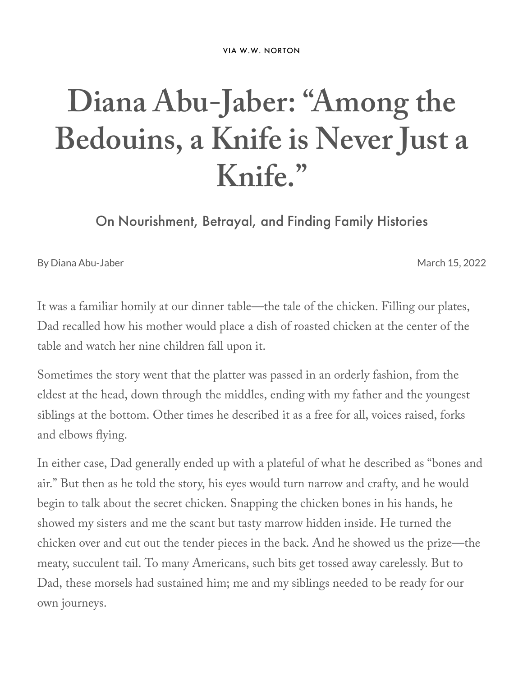VIA W.W. [NORTON](https://wwnorton.com/books/9780393867718/about-the-book/product-details)

## **Diana Abu-Jaber: "Among the Bedouins, a Knife is Never Just a Knife. "**

On Nourishment, Betrayal, and Finding Family Histories

By Diana [Abu-Jaber](https://lithub.com/author/diana-abu-jaber/) March 15, 2022

It was a familiar homily at our dinner table—the tale of the chicken. Filling our plates, Dad recalled how his mother would place a dish of roasted chicken at the center of the table and watch her nine children fall upon it.

Sometimes the story went that the platter was passed in an orderly fashion, from the eldest at the head, down through the middles, ending with my father and the youngest siblings at the bottom. Other times he described it as a free for all, voices raised, forks and elbows flying.

In either case, Dad generally ended up with a plateful of what he described as "bones and air." But then as he told the story, his eyes would turn narrow and crafty, and he would begin to talk about the secret chicken. Snapping the chicken bones in his hands, he showed my sisters and me the scant but tasty marrow hidden inside. He turned the chicken over and cut out the tender pieces in the back. And he showed us the prize—the meaty, succulent tail. To many Americans, such bits get tossed away carelessly. But to Dad, these morsels had sustained him; me and my siblings needed to be ready for our own journeys.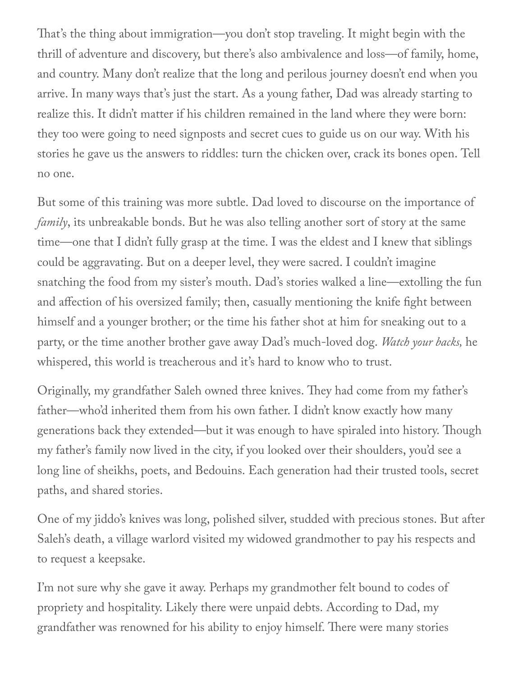That's the thing about immigration—you don't stop traveling. It might begin with the thrill of adventure and discovery, but there's also ambivalence and loss—of family, home, and country. Many don't realize that the long and perilous journey doesn't end when you arrive. In many ways that's just the start. As a young father, Dad was already starting to realize this. It didn't matter if his children remained in the land where they were born: they too were going to need signposts and secret cues to guide us on our way. With his stories he gave us the answers to riddles: turn the chicken over, crack its bones open. Tell no one.

But some of this training was more subtle. Dad loved to discourse on the importance of *family*, its unbreakable bonds. But he was also telling another sort of story at the same time—one that I didn't fully grasp at the time. I was the eldest and I knew that siblings could be aggravating. But on a deeper level, they were sacred. I couldn't imagine snatching the food from my sister's mouth. Dad's stories walked a line—extolling the fun and affection of his oversized family; then, casually mentioning the knife fight between himself and a younger brother; or the time his father shot at him for sneaking out to a party, or the time another brother gave away Dad's much-loved dog. *Watch your backs,* he whispered, this world is treacherous and it's hard to know who to trust.

Originally, my grandfather Saleh owned three knives. They had come from my father's father—who'd inherited them from his own father. I didn't know exactly how many generations back they extended—but it was enough to have spiraled into history. Though my father's family now lived in the city, if you looked over their shoulders, you'd see a long line of sheikhs, poets, and Bedouins. Each generation had their trusted tools, secret paths, and shared stories.

One of my jiddo's knives was long, polished silver, studded with precious stones. But after Saleh's death, a village warlord visited my widowed grandmother to pay his respects and to request a keepsake.

I'm not sure why she gave it away. Perhaps my grandmother felt bound to codes of propriety and hospitality. Likely there were unpaid debts. According to Dad, my grandfather was renowned for his ability to enjoy himself. There were many stories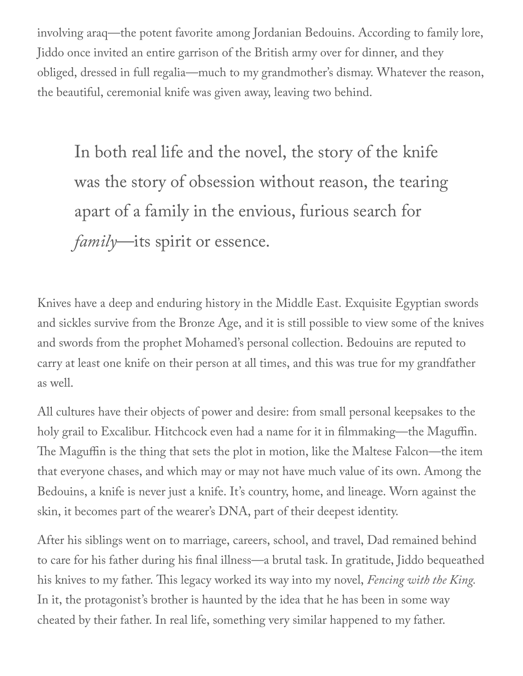involving araq—the potent favorite among Jordanian Bedouins. According to family lore, Jiddo once invited an entire garrison of the British army over for dinner, and they obliged, dressed in full regalia—much to my grandmother's dismay. Whatever the reason, the beautiful, ceremonial knife was given away, leaving two behind.

In both real life and the novel, the story of the knife was the story of obsession without reason, the tearing apart of a family in the envious, furious search for *family*—its spirit or essence.

Knives have a deep and enduring history in the Middle East. Exquisite Egyptian swords and sickles survive from the Bronze Age, and it is still possible to view some of the knives and swords from the prophet Mohamed's personal collection. Bedouins are reputed to carry at least one knife on their person at all times, and this was true for my grandfather as well.

All cultures have their objects of power and desire: from small personal keepsakes to the holy grail to Excalibur. Hitchcock even had a name for it in filmmaking—the Maguffin. The Maguffin is the thing that sets the plot in motion, like the Maltese Falcon—the item that everyone chases, and which may or may not have much value of its own. Among the Bedouins, a knife is never just a knife. It's country, home, and lineage. Worn against the skin, it becomes part of the wearer's DNA, part of their deepest identity.

After his siblings went on to marriage, careers, school, and travel, Dad remained behind to care for his father during his final illness—a brutal task. In gratitude, Jiddo bequeathed his knives to my father. This legacy worked its way into my novel, *Fencing with the King.* In it, the protagonist's brother is haunted by the idea that he has been in some way cheated by their father. In real life, something very similar happened to my father.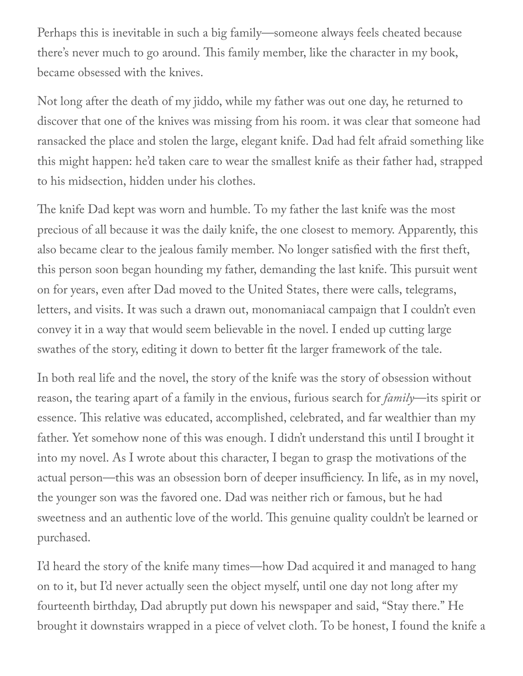Perhaps this is inevitable in such a big family—someone always feels cheated because there's never much to go around. This family member, like the character in my book, became obsessed with the knives.

Not long after the death of my jiddo, while my father was out one day, he returned to discover that one of the knives was missing from his room. it was clear that someone had ransacked the place and stolen the large, elegant knife. Dad had felt afraid something like this might happen: he'd taken care to wear the smallest knife as their father had, strapped to his midsection, hidden under his clothes.

The knife Dad kept was worn and humble. To my father the last knife was the most precious of all because it was the daily knife, the one closest to memory. Apparently, this also became clear to the jealous family member. No longer satisfied with the first theft, this person soon began hounding my father, demanding the last knife. This pursuit went on for years, even after Dad moved to the United States, there were calls, telegrams, letters, and visits. It was such a drawn out, monomaniacal campaign that I couldn't even convey it in a way that would seem believable in the novel. I ended up cutting large swathes of the story, editing it down to better fit the larger framework of the tale.

In both real life and the novel, the story of the knife was the story of obsession without reason, the tearing apart of a family in the envious, furious search for *family*—its spirit or essence. This relative was educated, accomplished, celebrated, and far wealthier than my father. Yet somehow none of this was enough. I didn't understand this until I brought it into my novel. As I wrote about this character, I began to grasp the motivations of the actual person—this was an obsession born of deeper insufficiency. In life, as in my novel, the younger son was the favored one. Dad was neither rich or famous, but he had sweetness and an authentic love of the world. This genuine quality couldn't be learned or purchased.

I'd heard the story of the knife many times—how Dad acquired it and managed to hang on to it, but I'd never actually seen the object myself, until one day not long after my fourteenth birthday, Dad abruptly put down his newspaper and said, "Stay there." He brought it downstairs wrapped in a piece of velvet cloth. To be honest, I found the knife a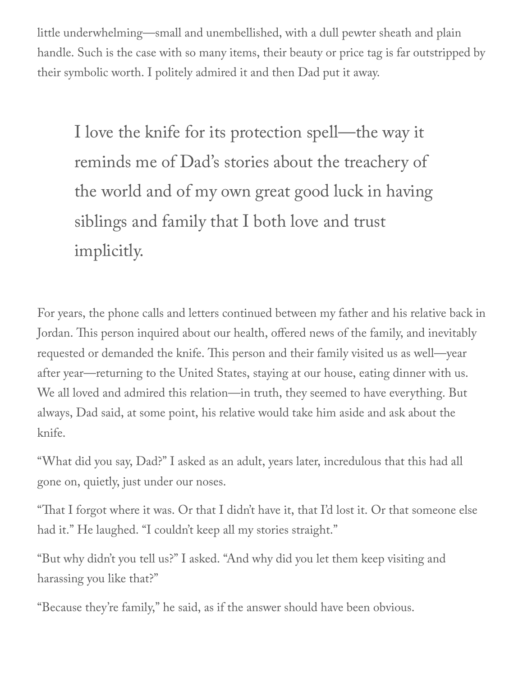little underwhelming—small and unembellished, with a dull pewter sheath and plain handle. Such is the case with so many items, their beauty or price tag is far outstripped by their symbolic worth. I politely admired it and then Dad put it away.

I love the knife for its protection spell—the way it reminds me of Dad' s stories about the treachery of the world and of my own great good luck in having siblings and family that I both love and trust implicitly.

For years, the phone calls and letters continued between my father and his relative back in Jordan. This person inquired about our health, offered news of the family, and inevitably requested or demanded the knife. This person and their family visited us as well—year after year—returning to the United States, staying at our house, eating dinner with us. We all loved and admired this relation—in truth, they seemed to have everything. But always, Dad said, at some point, his relative would take him aside and ask about the knife.

"What did you say, Dad?" I asked as an adult, years later, incredulous that this had all gone on, quietly, just under our noses.

"That I forgot where it was. Or that I didn't have it, that I'd lost it. Or that someone else had it." He laughed. "I couldn't keep all my stories straight."

"But why didn't you tell us?" I asked. "And why did you let them keep visiting and harassing you like that?"

"Because they're family," he said, as if the answer should have been obvious.